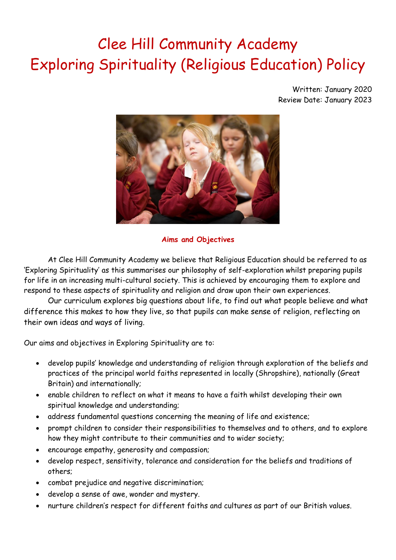# Clee Hill Community Academy Exploring Spirituality (Religious Education) Policy

Written: January 2020 Review Date: January 2023



## **Aims and Objectives**

At Clee Hill Community Academy we believe that Religious Education should be referred to as 'Exploring Spirituality' as this summarises our philosophy of self-exploration whilst preparing pupils for life in an increasing multi-cultural society. This is achieved by encouraging them to explore and respond to these aspects of spirituality and religion and draw upon their own experiences.

Our curriculum explores big questions about life, to find out what people believe and what difference this makes to how they live, so that pupils can make sense of religion, reflecting on their own ideas and ways of living.

Our aims and objectives in Exploring Spirituality are to:

- develop pupils' knowledge and understanding of religion through exploration of the beliefs and practices of the principal world faiths represented in locally (Shropshire), nationally (Great Britain) and internationally;
- enable children to reflect on what it means to have a faith whilst developing their own spiritual knowledge and understanding;
- address fundamental questions concerning the meaning of life and existence;
- prompt children to consider their responsibilities to themselves and to others, and to explore how they might contribute to their communities and to wider society;
- encourage empathy, generosity and compassion;
- develop respect, sensitivity, tolerance and consideration for the beliefs and traditions of others;
- combat prejudice and negative discrimination;
- develop a sense of awe, wonder and mystery.
- nurture children's respect for different faiths and cultures as part of our British values.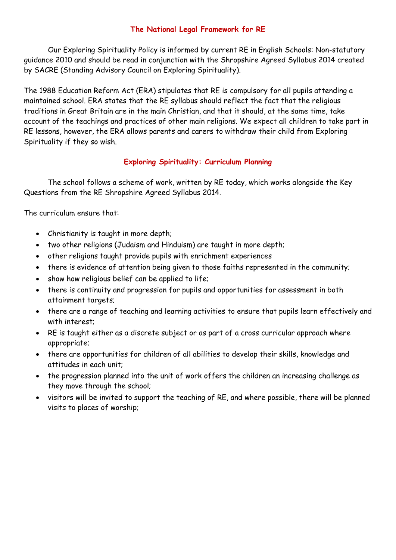### **The National Legal Framework for RE**

Our Exploring Spirituality Policy is informed by current RE in English Schools: Non-statutory guidance 2010 and should be read in conjunction with the Shropshire Agreed Syllabus 2014 created by SACRE (Standing Advisory Council on Exploring Spirituality).

The 1988 Education Reform Act (ERA) stipulates that RE is compulsory for all pupils attending a maintained school. ERA states that the RE syllabus should reflect the fact that the religious traditions in Great Britain are in the main Christian, and that it should, at the same time, take account of the teachings and practices of other main religions. We expect all children to take part in RE lessons, however, the ERA allows parents and carers to withdraw their child from Exploring Spirituality if they so wish.

## **Exploring Spirituality: Curriculum Planning**

The school follows a scheme of work, written by RE today, which works alongside the Key Questions from the RE Shropshire Agreed Syllabus 2014.

The curriculum ensure that:

- Christianity is taught in more depth;
- two other religions (Judaism and Hinduism) are taught in more depth;
- other religions taught provide pupils with enrichment experiences
- there is evidence of attention being given to those faiths represented in the community;
- show how religious belief can be applied to life;
- there is continuity and progression for pupils and opportunities for assessment in both attainment targets;
- there are a range of teaching and learning activities to ensure that pupils learn effectively and with interest;
- RE is taught either as a discrete subject or as part of a cross curricular approach where appropriate;
- there are opportunities for children of all abilities to develop their skills, knowledge and attitudes in each unit;
- the progression planned into the unit of work offers the children an increasing challenge as they move through the school;
- visitors will be invited to support the teaching of RE, and where possible, there will be planned visits to places of worship;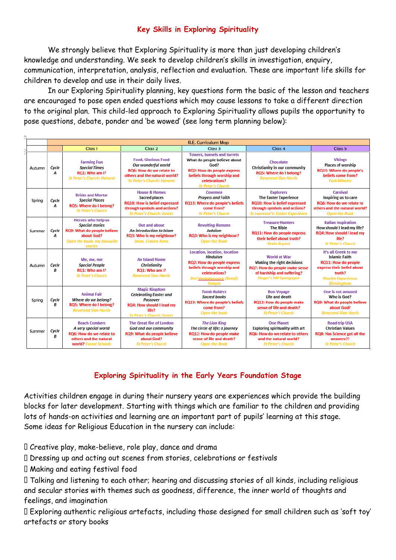## **Key Skills in Exploring Spirituality**

We strongly believe that Exploring Spirituality is more than just developing children's knowledge and understanding. We seek to develop children's skills in investigation, enquiry, communication, interpretation, analysis, reflection and evaluation. These are important life skills for children to develop and use in their daily lives.

In our Exploring Spirituality planning, key questions form the basic of the lesson and teachers are encouraged to pose open ended questions which may cause lessons to take a different direction to the original plan. This child-led approach to Exploring Spirituality allows pupils the opportunity to pose questions, debate, ponder and 'be wowed' (see long term planning below):

|        | <b>R.E. Curriculum Map</b> |                                                                                                                                            |                                                                                                                                                       |                                                                                                                                                                                      |                                                                                                                                                                     |                                                                                                                                                                      |
|--------|----------------------------|--------------------------------------------------------------------------------------------------------------------------------------------|-------------------------------------------------------------------------------------------------------------------------------------------------------|--------------------------------------------------------------------------------------------------------------------------------------------------------------------------------------|---------------------------------------------------------------------------------------------------------------------------------------------------------------------|----------------------------------------------------------------------------------------------------------------------------------------------------------------------|
|        |                            | Class <sub>1</sub>                                                                                                                         | Class <sub>2</sub>                                                                                                                                    | Class 3                                                                                                                                                                              | Class 4                                                                                                                                                             | Class <sub>5</sub>                                                                                                                                                   |
| Autumn | Cycle<br>A                 | <b>Farming Fun</b><br><b>Special Times</b><br>RQ1: Who am I?<br><b>St Peter's Church: Harvest</b>                                          | <b>Food, Glorious Food</b><br>Our wonderful world<br>RQ6: How do we relate to<br>others and the natural world?<br><b>St Peter's Church: Harvest</b>   | <b>Towers, tunnels and turrets</b><br>What do people believe about<br>God?<br>RQ2: How do people express<br>beliefs through worship and<br>celebrations?<br><b>St Peter's Church</b> | Chocolate<br>Christianity in our community<br>RQ5: Where do I belong?<br><b>Reverend Sian Harris</b>                                                                | <b>Vikings</b><br><b>Places of worship</b><br><b>RQ13: Where do people's</b><br>beliefs come from?<br><b>York Minster</b>                                            |
| Spring | Cycle<br>А                 | <b>Bricks and Mortar</b><br><b>Special Places</b><br>RQ5: Where do I belong?<br><b>St Peter's Church</b>                                   | <b>House &amp; Homes</b><br>Sacred places<br><b>RQ10: How is belief expressed</b><br>through symbols and actions?<br><b>St Peter's Church: Easter</b> | <b>Cavemen</b><br><b>Prayers and Faith</b><br>RQ13: Where do people's beliefs<br>come from?<br><b>St Peter's Church</b>                                                              | <b>Explorers</b><br><b>The Easter Experience</b><br><b>RQ10: How is belief expressed</b><br>through symbols and actions?<br><b>St Laurence's: Easter Experience</b> | Carnival<br>Inspiring us to care<br>RQ6: How do we relate to<br>others and the natural world?<br><b>Open the Book</b>                                                |
| Summer | Cycle<br>А                 | Heroes who help us<br><b>Special stories</b><br><b>RQ9: What do people believe</b><br>about God?<br>Open the book: my favourite<br>stories | <b>Out and about</b><br>An introduction to Islam<br>RQ3: Who is my neighbour?<br><b>Iman, Craven Arms</b>                                             | <b>Revolting Romans</b><br>Judaism<br>RQ3: Who is my neighbour?<br><b>Open the Book</b>                                                                                              | <b>Treasure Hunters</b><br><b>The Bible</b><br><b>RQ11: How do people express</b><br>their belief about truth?<br><b>Kevin Bryant</b>                               | <b>Italian Inspiration</b><br>How should I lead my life?<br><b>RQ4: How should I lead my</b><br>life?<br><b>St Peter's Church</b>                                    |
| Autumn | Cycle<br>B                 | Me, me, me<br><b>Special People</b><br>RQ1: Who am I?<br><b>St Peter's Church</b>                                                          | <b>An Island Home</b><br>Christianity<br>RQ1: Who am I?<br><b>Reverend Sian Harris</b>                                                                | Location, location, location<br>Hinduism<br><b>RQ2: How do people express</b><br>beliefs through worship and<br>celebrations?<br>Shri Venkateswara (Balaji)<br><b>Temple</b>         | <b>World at War</b><br>Making the right decisions<br>RQ7: How do people make sense<br>of hardship and suffering?<br><b>Singer's Hill Synagogue</b>                  | It's all Greek to me<br><b>Islamic Faith</b><br><b>RQ11: How do people</b><br>express their belief about<br>truth?<br><b>Muslim Experience:</b><br><b>Birmingham</b> |
| Spring | Cycle<br>В                 | <b>Animal Fair</b><br>Where do we belong?<br>RQ5: Where do I belong?<br><b>Reverend Sian Harris</b>                                        | <b>Magic Kingdom</b><br><b>Celebrating Easter and</b><br>Passover<br>RQ4: How should I lead my<br>life?<br><b>St Peter's Church: Easter</b>           | <b>Tomb Raiders</b><br><b>Sacred books</b><br>RQ13: Where do people's beliefs<br>come from?<br><b>Open the book</b>                                                                  | <b>Bon Voyage</b><br>Life and death<br>RQ12: How do people make<br>sense of life and death?<br><b>St Peter's Church</b>                                             | One is not amused<br>Who is God?<br>RQ9: What do people believe<br>about God?<br><b>Reverend Sian Harris</b>                                                         |
| Summer | Cycle<br>B                 | <b>Beach Combers</b><br>A very special world<br><b>RO6: How do we relate to</b><br>others and the natural<br>world? Forest Schools         | The Great fire of London<br>God and our community<br>RQ9: What do people believe<br>about God?<br><b>St Peter's Church</b>                            | <b>The Lion King</b><br>The circle of life: a journey<br>RQ12: How do people make<br>sense of life and death?<br><b>Open the Book</b>                                                | <b>One Planet</b><br>Exploring spirituality with art<br>RQ6: How do we relate to others<br>and the natural world?<br><b>St Peter's Church</b>                       | <b>Road trip USA</b><br><b>Christian Values</b><br><b>RQ8: Has Science got all the</b><br>answers??<br><b>St Peter's Church</b>                                      |

# **Exploring Spirituality in the Early Years Foundation Stage**

Activities children engage in during their nursery years are experiences which provide the building blocks for later development. Starting with things which are familiar to the children and providing lots of hands-on activities and learning are an important part of pupils' learning at this stage. Some ideas for Religious Education in the nursery can include:

Creative play, make-believe, role play, dance and drama

Dressing up and acting out scenes from stories, celebrations or festivals

Making and eating festival food

Talking and listening to each other; hearing and discussing stories of all kinds, including religious and secular stories with themes such as goodness, difference, the inner world of thoughts and feelings, and imagination

Exploring authentic religious artefacts, including those designed for small children such as 'soft toy' artefacts or story books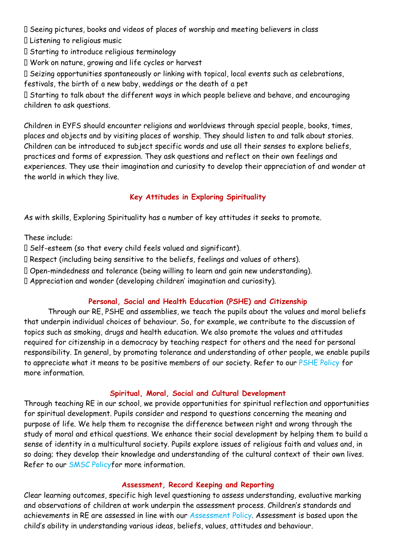I Seeing pictures, books and videos of places of worship and meeting believers in class

Listening to religious music

Starting to introduce religious terminology

Work on nature, growing and life cycles or harvest

Seizing opportunities spontaneously or linking with topical, local events such as celebrations,

festivals, the birth of a new baby, weddings or the death of a pet

Starting to talk about the different ways in which people believe and behave, and encouraging children to ask questions.

Children in EYFS should encounter religions and worldviews through special people, books, times, places and objects and by visiting places of worship. They should listen to and talk about stories. Children can be introduced to subject specific words and use all their senses to explore beliefs, practices and forms of expression. They ask questions and reflect on their own feelings and experiences. They use their imagination and curiosity to develop their appreciation of and wonder at the world in which they live.

# **Key Attitudes in Exploring Spirituality**

As with skills, Exploring Spirituality has a number of key attitudes it seeks to promote.

These include:

Self-esteem (so that every child feels valued and significant).

Respect (including being sensitive to the beliefs, feelings and values of others).

Open-mindedness and tolerance (being willing to learn and gain new understanding).

Appreciation and wonder (developing children' imagination and curiosity).

# **Personal, Social and Health Education (PSHE) and Citizenship**

Through our RE, PSHE and assemblies, we teach the pupils about the values and moral beliefs that underpin individual choices of behaviour. So, for example, we contribute to the discussion of topics such as smoking, drugs and health education. We also promote the values and attitudes required for citizenship in a democracy by teaching respect for others and the need for personal responsibility. In general, by promoting tolerance and understanding of other people, we enable pupils to appreciate what it means to be positive members of our society. Refer to our PSHE Policy for more information.

## **Spiritual, Moral, Social and Cultural Development**

Through teaching RE in our school, we provide opportunities for spiritual reflection and opportunities for spiritual development. Pupils consider and respond to questions concerning the meaning and purpose of life. We help them to recognise the difference between right and wrong through the study of moral and ethical questions. We enhance their social development by helping them to build a sense of identity in a multicultural society. Pupils explore issues of religious faith and values and, in so doing; they develop their knowledge and understanding of the cultural context of their own lives. Refer to our SMSC Policyfor more information.

#### **Assessment, Record Keeping and Reporting**

Clear learning outcomes, specific high level questioning to assess understanding, evaluative marking and observations of children at work underpin the assessment process. Children's standards and achievements in RE are assessed in line with our Assessment Policy. Assessment is based upon the child's ability in understanding various ideas, beliefs, values, attitudes and behaviour.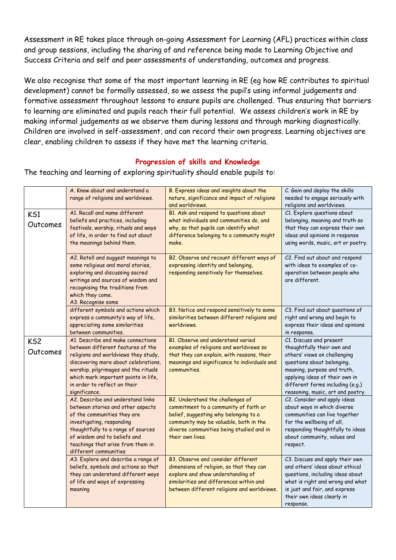Assessment in RE takes place through on-going Assessment for Learning (AFL) practices within class and group sessions, including the sharing of and reference being made to Learning Objective and Success Criteria and self and peer assessments of understanding, outcomes and progress.

We also recognise that some of the most important learning in RE (eg how RE contributes to spiritual development) cannot be formally assessed, so we assess the pupil's using informal judgements and formative assessment throughout lessons to ensure pupils are challenged. Thus ensuring that barriers to learning are eliminated and pupils reach their full potential. We assess children's work in RE by making informal judgements as we observe them during lessons and through marking diagnostically. Children are involved in self-assessment, and can record their own progress. Learning objectives are clear, enabling children to assess if they have met the learning criteria.

# **Progression of skills and Knowledge**

|                             | A. Know about and understand a<br>range of religions and worldviews.                                                                                                                                                                                                                    | B. Express ideas and insights about the<br>nature, significance and impact of religions<br>and worldviews.                                                                                                                   | C. Gain and deploy the skills<br>needed to engage seriously with<br>religions and worldviews.                                                                                                                                                                 |
|-----------------------------|-----------------------------------------------------------------------------------------------------------------------------------------------------------------------------------------------------------------------------------------------------------------------------------------|------------------------------------------------------------------------------------------------------------------------------------------------------------------------------------------------------------------------------|---------------------------------------------------------------------------------------------------------------------------------------------------------------------------------------------------------------------------------------------------------------|
| KS1<br>Outcomes             | A1. Recall and name different<br>beliefs and practices, including<br>festivals, worship, rituals and ways<br>of life, in order to find out about<br>the meanings behind them.                                                                                                           | B1. Ask and respond to questions about<br>what individuals and communities do, and<br>why, so that pupils can identify what<br>difference belonging to a community might<br>make.                                            | C1. Explore questions about<br>belonging, meaning and truth so<br>that they can express their own<br>ideas and opinions in response<br>using words, music, art or poetry.                                                                                     |
|                             | A2. Retell and suggest meanings to<br>some religious and moral stories,<br>exploring and discussing sacred<br>writings and sources of wisdom and<br>recognising the traditions from<br>which they come.<br>A3. Recognise some                                                           | B2. Observe and recount different ways of<br>expressing identity and belonging,<br>responding sensitively for themselves.                                                                                                    | C2. Find out about and respond<br>with ideas to examples of co-<br>operation between people who<br>are different.                                                                                                                                             |
|                             | different symbols and actions which<br>express a community's way of life,<br>appreciating some similarities<br>between communities.                                                                                                                                                     | B3. Notice and respond sensitively to some<br>similarities between different religions and<br>worldviews.                                                                                                                    | C3. Find out about questions of<br>right and wrong and begin to<br>express their ideas and opinions<br>in response.                                                                                                                                           |
| KS <sub>2</sub><br>Outcomes | A1. Describe and make connections<br>between different features of the<br>religions and worldviews they study,<br>discovering more about celebrations,<br>worship, pilgrimages and the rituals<br>which mark important points in life,<br>in order to reflect on their<br>significance. | B1. Observe and understand varied<br>examples of religions and worldviews so<br>that they can explain, with reasons, their<br>meanings and significance to individuals and<br>communities.                                   | C1. Discuss and present<br>thoughtfully their own and<br>others' views on challenging<br>questions about belonging,<br>meaning, purpose and truth,<br>applying ideas of their own in<br>different forms including (e.g.)<br>reasoning, music, art and poetry. |
|                             | A2. Describe and understand links<br>between stories and other aspects<br>of the communities they are<br>investigating, responding<br>thoughtfully to a range of sources<br>of wisdom and to beliefs and<br>teachings that arise from them in<br>different communities                  | B2. Understand the challenges of<br>commitment to a community of faith or<br>belief, suggesting why belonging to a<br>community may be valuable, both in the<br>diverse communities being studied and in<br>their own lives. | C2. Consider and apply ideas<br>about ways in which diverse<br>communities can live together<br>for the wellbeing of all,<br>responding thoughtfully to ideas<br>about community, values and<br>respect.                                                      |
|                             | A3. Explore and describe a range of<br>beliefs, symbols and actions so that<br>they can understand different ways<br>of life and ways of expressing<br>meaning                                                                                                                          | B3. Observe and consider different<br>dimensions of religion, so that they can<br>explore and show understanding of<br>similarities and differences within and<br>between different religions and worldviews.                | C3. Discuss and apply their own<br>and others' ideas about ethical<br>questions, including ideas about<br>what is right and wrong and what<br>is just and fair, and express<br>their own ideas clearly in<br>response.                                        |

The teaching and learning of exploring spirituality should enable pupils to: